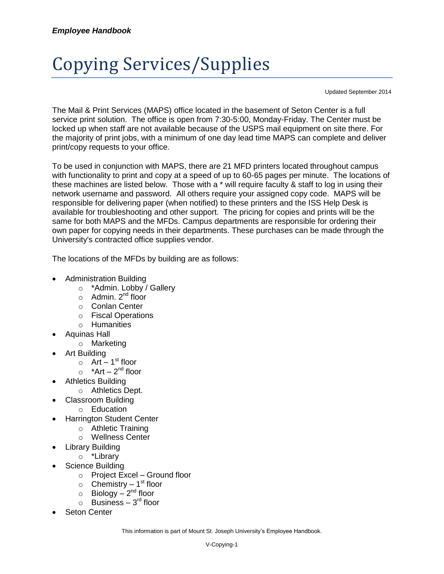## Copying Services/Supplies

Updated September 2014

The Mail & Print Services (MAPS) office located in the basement of Seton Center is a full service print solution. The office is open from 7:30-5:00, Monday-Friday. The Center must be locked up when staff are not available because of the USPS mail equipment on site there. For the majority of print jobs, with a minimum of one day lead time MAPS can complete and deliver print/copy requests to your office.

To be used in conjunction with MAPS, there are 21 MFD printers located throughout campus with functionality to print and copy at a speed of up to 60-65 pages per minute. The locations of these machines are listed below. Those with a \* will require faculty & staff to log in using their network username and password. All others require your assigned copy code. MAPS will be responsible for delivering paper (when notified) to these printers and the ISS Help Desk is available for troubleshooting and other support. The pricing for copies and prints will be the same for both MAPS and the MFDs. Campus departments are responsible for ordering their own paper for copying needs in their departments. These purchases can be made through the University's contracted office supplies vendor.

The locations of the MFDs by building are as follows:

- Administration Building
	- o \*Admin. Lobby / Gallery
	- o Admin. 2<sup>nd</sup> floor
	- o Conlan Center
	- o Fiscal Operations
	- o Humanities
- Aquinas Hall
	- o Marketing
- Art Building
	- $\circ$  Art 1<sup>st</sup> floor
	- o \*Art 2<sup>nd</sup> floor
- Athletics Building
	- o Athletics Dept.
	- Classroom Building
		- o Education
- Harrington Student Center
	- o Athletic Training
		- o Wellness Center
- Library Building
	- o \*Library
	- Science Building
		- o Project Excel Ground floor
			- $\circ$  Chemistry 1<sup>st</sup> floor
			- $\circ$  Biology 2<sup>nd</sup> floor
			- $\circ$  Business 3<sup>rd</sup> floor
- Seton Center